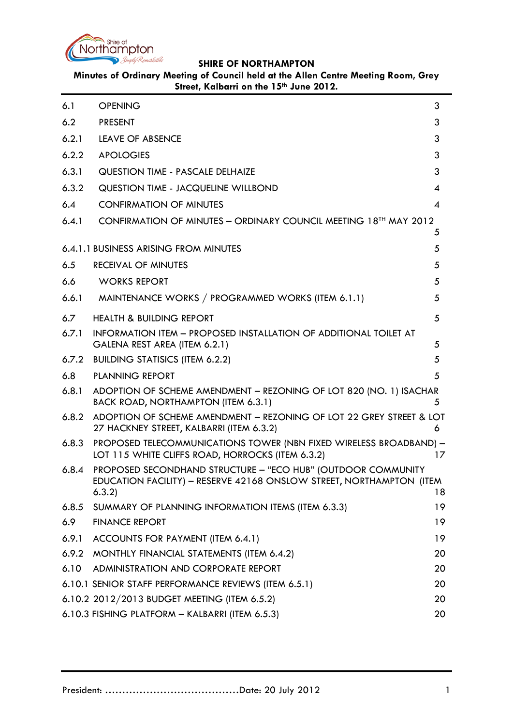

<span id="page-0-0"></span>

| 6.1   | <b>OPENING</b>                                                                                                                                | 3  |
|-------|-----------------------------------------------------------------------------------------------------------------------------------------------|----|
| 6.2   | <b>PRESENT</b>                                                                                                                                | 3  |
| 6.2.1 | LEAVE OF ABSENCE                                                                                                                              | 3  |
| 6.2.2 | <b>APOLOGIES</b>                                                                                                                              | 3  |
| 6.3.1 | <b>QUESTION TIME - PASCALE DELHAIZE</b>                                                                                                       | 3  |
| 6.3.2 | QUESTION TIME - JACQUELINE WILLBOND                                                                                                           | 4  |
| 6.4   | <b>CONFIRMATION OF MINUTES</b>                                                                                                                | 4  |
| 6.4.1 | CONFIRMATION OF MINUTES - ORDINARY COUNCIL MEETING 18 <sup>TH</sup> MAY 2012                                                                  | 5  |
|       | 6.4.1.1 BUSINESS ARISING FROM MINUTES                                                                                                         | 5  |
| 6.5   | RECEIVAL OF MINUTES                                                                                                                           | 5  |
| 6.6   | <b>WORKS REPORT</b>                                                                                                                           | 5  |
| 6.6.1 | MAINTENANCE WORKS / PROGRAMMED WORKS (ITEM 6.1.1)                                                                                             | 5  |
| 6.7   | <b>HEALTH &amp; BUILDING REPORT</b>                                                                                                           | 5  |
| 6.7.1 | INFORMATION ITEM - PROPOSED INSTALLATION OF ADDITIONAL TOILET AT<br>GALENA REST AREA (ITEM 6.2.1)                                             | 5  |
| 6.7.2 | <b>BUILDING STATISICS (ITEM 6.2.2)</b>                                                                                                        | 5  |
| 6.8   | <b>PLANNING REPORT</b>                                                                                                                        | 5  |
| 6.8.1 | ADOPTION OF SCHEME AMENDMENT - REZONING OF LOT 820 (NO. 1) ISACHAR<br>BACK ROAD, NORTHAMPTON (ITEM 6.3.1)                                     | 5  |
| 6.8.2 | ADOPTION OF SCHEME AMENDMENT - REZONING OF LOT 22 GREY STREET & LOT<br>27 HACKNEY STREET, KALBARRI (ITEM 6.3.2)                               | 6  |
| 6.8.3 | PROPOSED TELECOMMUNICATIONS TOWER (NBN FIXED WIRELESS BROADBAND) -<br>LOT 115 WHITE CLIFFS ROAD, HORROCKS (ITEM 6.3.2)                        | 17 |
| 6.8.4 | PROPOSED SECONDHAND STRUCTURE - "ECO HUB" (OUTDOOR COMMUNITY<br>EDUCATION FACILITY) - RESERVE 42168 ONSLOW STREET, NORTHAMPTON (ITEM<br>6.3.2 | 18 |
| 6.8.5 | SUMMARY OF PLANNING INFORMATION ITEMS (ITEM 6.3.3)                                                                                            | 19 |
| 6.9   | <b>FINANCE REPORT</b>                                                                                                                         | 19 |
| 6.9.1 | ACCOUNTS FOR PAYMENT (ITEM 6.4.1)                                                                                                             | 19 |
| 6.9.2 | MONTHLY FINANCIAL STATEMENTS (ITEM 6.4.2)                                                                                                     | 20 |
| 6.10  | ADMINISTRATION AND CORPORATE REPORT                                                                                                           | 20 |
|       | 6.10.1 SENIOR STAFF PERFORMANCE REVIEWS (ITEM 6.5.1)                                                                                          | 20 |
|       | 6.10.2 2012/2013 BUDGET MEETING (ITEM 6.5.2)                                                                                                  | 20 |
|       | 6.10.3 FISHING PLATFORM - KALBARRI (ITEM 6.5.3)                                                                                               | 20 |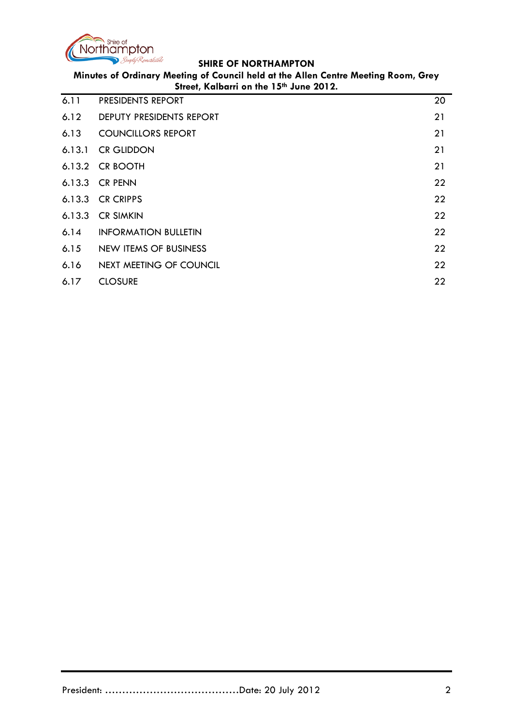

| 6.11   | PRESIDENTS REPORT            | 20 |
|--------|------------------------------|----|
| 6.12   | DEPUTY PRESIDENTS REPORT     | 21 |
| 6.13   | <b>COUNCILLORS REPORT</b>    | 21 |
| 6.13.1 | <b>CR GLIDDON</b>            | 21 |
|        | 6.13.2 CR BOOTH              | 21 |
|        | $6.13.3$ CR PENN             | 22 |
|        | 6.13.3 CR CRIPPS             | 22 |
|        | 6.13.3 CR SIMKIN             | 22 |
| 6.14   | <b>INFORMATION BULLETIN</b>  | 22 |
| 6.15   | <b>NEW ITEMS OF BUSINESS</b> | 22 |
| 6.16   | NEXT MEETING OF COUNCIL      | 22 |
| 6.17   | <b>CLOSURE</b>               | 22 |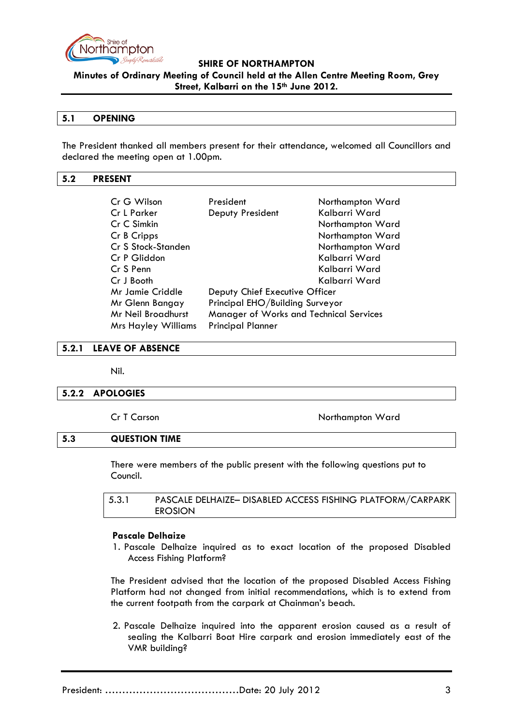

**Minutes of Ordinary Meeting of Council held at the Allen Centre Meeting Room, Grey Street, Kalbarri on the 15th June 2012.**

### **5.1 OPENING**

The President thanked all members present for their attendance, welcomed all Councillors and declared the meeting open at 1.00pm.

#### <span id="page-2-0"></span>**5.2 PRESENT**

| Cr G Wilson                | President                               | Northampton Ward |
|----------------------------|-----------------------------------------|------------------|
| Cr L Parker                | Deputy President                        | Kalbarri Ward    |
| Cr C Simkin                |                                         | Northampton Ward |
| Cr B Cripps                |                                         | Northampton Ward |
| Cr S Stock-Standen         |                                         | Northampton Ward |
| Cr P Gliddon               |                                         | Kalbarri Ward    |
| Cr S Penn                  |                                         | Kalbarri Ward    |
| Cr J Booth                 |                                         | Kalbarri Ward    |
| Mr Jamie Criddle           | Deputy Chief Executive Officer          |                  |
| Mr Glenn Bangay            | Principal EHO/Building Surveyor         |                  |
| Mr Neil Broadhurst         | Manager of Works and Technical Services |                  |
| <b>Mrs Hayley Williams</b> | <b>Principal Planner</b>                |                  |

#### <span id="page-2-1"></span>**5.2.1 LEAVE OF ABSENCE**

Nil.

#### <span id="page-2-2"></span>**5.2.2 APOLOGIES**

Cr T Carson Northampton Ward

### <span id="page-2-3"></span>**5.3 QUESTION TIME**

There were members of the public present with the following questions put to Council.

| 5.3.1 | PASCALE DELHAIZE- DISABLED ACCESS FISHING PLATFORM/CARPARK |
|-------|------------------------------------------------------------|
|       | <b>EROSION</b>                                             |

#### **Pascale Delhaize**

1. Pascale Delhaize inquired as to exact location of the proposed Disabled Access Fishing Platform?

The President advised that the location of the proposed Disabled Access Fishing Platform had not changed from initial recommendations, which is to extend from the current footpath from the carpark at Chainman's beach.

2. Pascale Delhaize inquired into the apparent erosion caused as a result of sealing the Kalbarri Boat Hire carpark and erosion immediately east of the VMR building?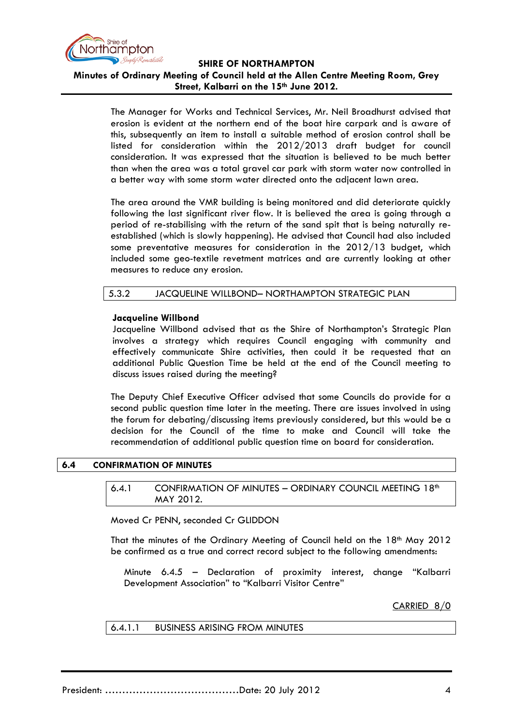

## **Minutes of Ordinary Meeting of Council held at the Allen Centre Meeting Room, Grey Street, Kalbarri on the 15th June 2012.**

The Manager for Works and Technical Services, Mr. Neil Broadhurst advised that erosion is evident at the northern end of the boat hire carpark and is aware of this, subsequently an item to install a suitable method of erosion control shall be listed for consideration within the 2012/2013 draft budget for council consideration. It was expressed that the situation is believed to be much better than when the area was a total gravel car park with storm water now controlled in a better way with some storm water directed onto the adjacent lawn area.

The area around the VMR building is being monitored and did deteriorate quickly following the last significant river flow. It is believed the area is going through a period of re-stabilising with the return of the sand spit that is being naturally reestablished (which is slowly happening). He advised that Council had also included some preventative measures for consideration in the 2012/13 budget, which included some geo-textile revetment matrices and are currently looking at other measures to reduce any erosion.

### 5.3.2 JACQUELINE WILLBOND– NORTHAMPTON STRATEGIC PLAN

### **Jacqueline Willbond**

Jacqueline Willbond advised that as the Shire of Northampton's Strategic Plan involves a strategy which requires Council engaging with community and effectively communicate Shire activities, then could it be requested that an additional Public Question Time be held at the end of the Council meeting to discuss issues raised during the meeting?

The Deputy Chief Executive Officer advised that some Councils do provide for a second public question time later in the meeting. There are issues involved in using the forum for debating/discussing items previously considered, but this would be a decision for the Council of the time to make and Council will take the recommendation of additional public question time on board for consideration.

### <span id="page-3-1"></span><span id="page-3-0"></span>**6.4 CONFIRMATION OF MINUTES**

#### 6.4.1 CONFIRMATION OF MINUTES - ORDINARY COUNCIL MEETING 18<sup>th</sup> MAY 2012.

Moved Cr PENN, seconded Cr GLIDDON

That the minutes of the Ordinary Meeting of Council held on the 18<sup>th</sup> May 2012 be confirmed as a true and correct record subject to the following amendments:

Minute 6.4.5 – Declaration of proximity interest, change "Kalbarri Development Association" to "Kalbarri Visitor Centre"

### CARRIED 8/0

### 6.4.1.1 BUSINESS ARISING FROM MINUTES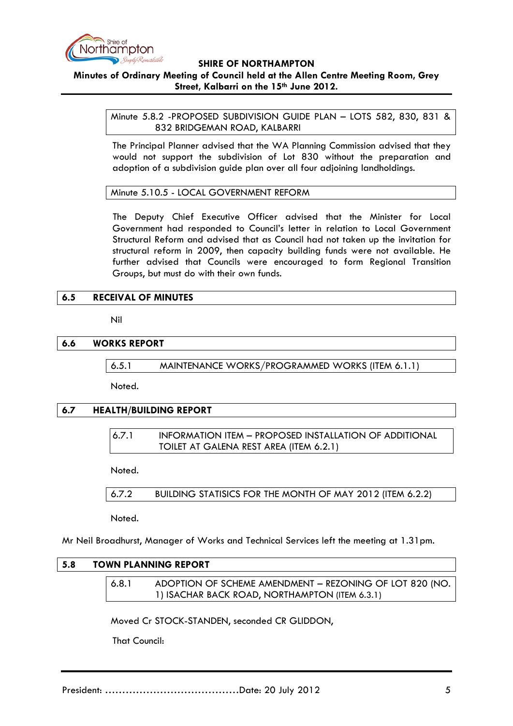

## **Minutes of Ordinary Meeting of Council held at the Allen Centre Meeting Room, Grey Street, Kalbarri on the 15th June 2012.**

Minute 5.8.2 -PROPOSED SUBDIVISION GUIDE PLAN – LOTS 582, 830, 831 & 832 BRIDGEMAN ROAD, KALBARRI

The Principal Planner advised that the WA Planning Commission advised that they would not support the subdivision of Lot 830 without the preparation and adoption of a subdivision guide plan over all four adjoining landholdings.

Minute 5.10.5 - LOCAL GOVERNMENT REFORM

The Deputy Chief Executive Officer advised that the Minister for Local Government had responded to Council's letter in relation to Local Government Structural Reform and advised that as Council had not taken up the invitation for structural reform in 2009, then capacity building funds were not available. He further advised that Councils were encouraged to form Regional Transition Groups, but must do with their own funds.

### **6.5 RECEIVAL OF MINUTES**

Nil

### **6.6 WORKS REPORT**

6.5.1 MAINTENANCE WORKS/PROGRAMMED WORKS (ITEM 6.1.1)

Noted.

# **6.7 HEALTH/BUILDING REPORT**

6.7.1 INFORMATION ITEM – PROPOSED INSTALLATION OF ADDITIONAL TOILET AT GALENA REST AREA (ITEM 6.2.1)

Noted.

6.7.2 BUILDING STATISICS FOR THE MONTH OF MAY 2012 (ITEM 6.2.2)

Noted.

Mr Neil Broadhurst, Manager of Works and Technical Services left the meeting at 1.31pm.

### **5.8 TOWN PLANNING REPORT**

| 6.8.1 | ADOPTION OF SCHEME AMENDMENT - REZONING OF LOT 820 (NO. |
|-------|---------------------------------------------------------|
|       | 1) ISACHAR BACK ROAD, NORTHAMPTON (ITEM 6.3.1)          |

Moved Cr STOCK-STANDEN, seconded CR GLIDDON,

That Council: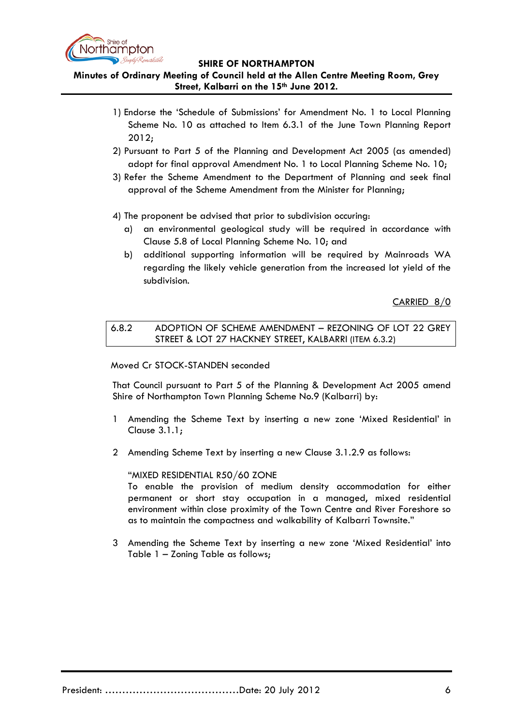

**Minutes of Ordinary Meeting of Council held at the Allen Centre Meeting Room, Grey Street, Kalbarri on the 15th June 2012.**

- 1) Endorse the 'Schedule of Submissions' for Amendment No. 1 to Local Planning Scheme No. 10 as attached to Item 6.3.1 of the June Town Planning Report 2012;
- 2) Pursuant to Part 5 of the Planning and Development Act 2005 (as amended) adopt for final approval Amendment No. 1 to Local Planning Scheme No. 10;
- 3) Refer the Scheme Amendment to the Department of Planning and seek final approval of the Scheme Amendment from the Minister for Planning;
- 4) The proponent be advised that prior to subdivision occuring:
	- a) an environmental geological study will be required in accordance with Clause 5.8 of Local Planning Scheme No. 10; and
	- b) additional supporting information will be required by Mainroads WA regarding the likely vehicle generation from the increased lot yield of the subdivision.

CARRIED 8/0

6.8.2 ADOPTION OF SCHEME AMENDMENT – REZONING OF LOT 22 GREY STREET & LOT 27 HACKNEY STREET, KALBARRI (ITEM 6.3.2)

### Moved Cr STOCK-STANDEN seconded

That Council pursuant to Part 5 of the Planning & Development Act 2005 amend Shire of Northampton Town Planning Scheme No.9 (Kalbarri) by:

- 1 Amending the Scheme Text by inserting a new zone 'Mixed Residential' in Clause 3.1.1;
- 2 Amending Scheme Text by inserting a new Clause 3.1.2.9 as follows:

### "MIXED RESIDENTIAL R50/60 ZONE

To enable the provision of medium density accommodation for either permanent or short stay occupation in a managed, mixed residential environment within close proximity of the Town Centre and River Foreshore so as to maintain the compactness and walkability of Kalbarri Townsite."

3 Amending the Scheme Text by inserting a new zone 'Mixed Residential' into Table 1 – Zoning Table as follows;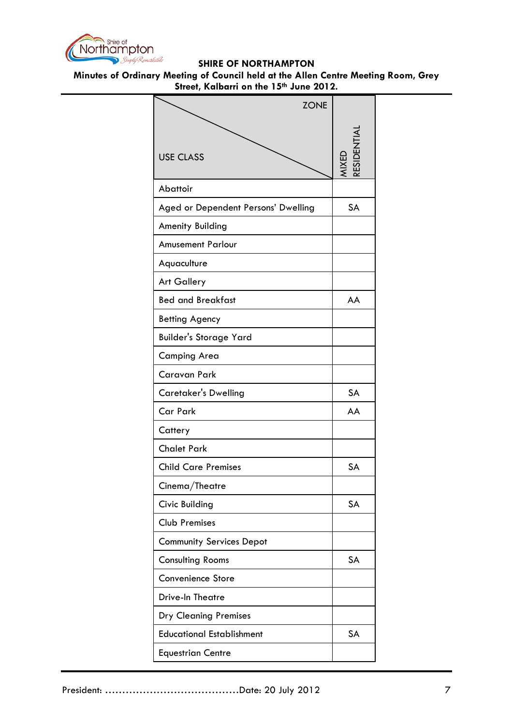

| <b>ZONE</b>                         |                    |
|-------------------------------------|--------------------|
| <b>USE CLASS</b>                    | ESIDENTI/<br>MIXED |
| Abattoir                            |                    |
| Aged or Dependent Persons' Dwelling | SA                 |
| <b>Amenity Building</b>             |                    |
| <b>Amusement Parlour</b>            |                    |
| Aquaculture                         |                    |
| <b>Art Gallery</b>                  |                    |
| <b>Bed and Breakfast</b>            | AA                 |
| <b>Betting Agency</b>               |                    |
| <b>Builder's Storage Yard</b>       |                    |
| Camping Area                        |                    |
| Caravan Park                        |                    |
| Caretaker's Dwelling                | SA                 |
| Car Park                            | AA                 |
| Cattery                             |                    |
| <b>Chalet Park</b>                  |                    |
| <b>Child Care Premises</b>          | <b>SA</b>          |
| Cinema/Theatre                      |                    |
| Civic Building                      | SA                 |
| <b>Club Premises</b>                |                    |
| <b>Community Services Depot</b>     |                    |
| <b>Consulting Rooms</b>             | SA                 |
| <b>Convenience Store</b>            |                    |
| Drive-In Theatre                    |                    |
| <b>Dry Cleaning Premises</b>        |                    |
| <b>Educational Establishment</b>    | SA                 |
| <b>Equestrian Centre</b>            |                    |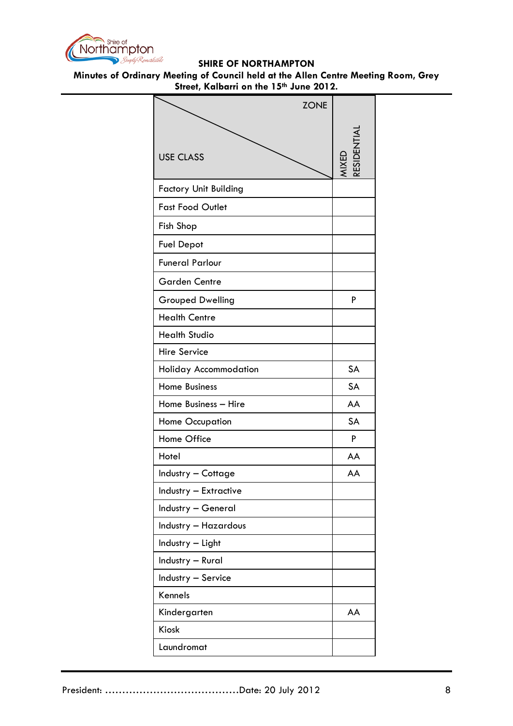

| <b>ZONE</b>                  |                           |
|------------------------------|---------------------------|
| <b>USE CLASS</b>             | <b>ESIDENTIA</b><br>MIXED |
| <b>Factory Unit Building</b> |                           |
| <b>Fast Food Outlet</b>      |                           |
| Fish Shop                    |                           |
| <b>Fuel Depot</b>            |                           |
| <b>Funeral Parlour</b>       |                           |
| <b>Garden Centre</b>         |                           |
| <b>Grouped Dwelling</b>      | P                         |
| <b>Health Centre</b>         |                           |
| <b>Health Studio</b>         |                           |
| <b>Hire Service</b>          |                           |
| Holiday Accommodation        | <b>SA</b>                 |
| <b>Home Business</b>         | <b>SA</b>                 |
| Home Business - Hire         | AA                        |
| <b>Home Occupation</b>       | <b>SA</b>                 |
| Home Office                  | P                         |
| Hotel                        | AA                        |
| Industry - Cottage           | AA                        |
| Industry - Extractive        |                           |
| Industry - General           |                           |
| <b>Industry - Hazardous</b>  |                           |
| Industry - Light             |                           |
| Industry - Rural             |                           |
| Industry - Service           |                           |
| Kennels                      |                           |
| Kindergarten                 | AA                        |
| <b>Kiosk</b>                 |                           |
| Laundromat                   |                           |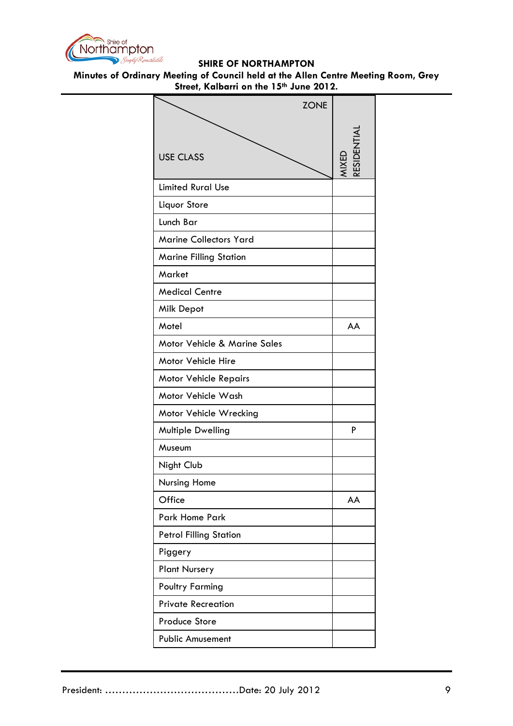

| <b>ZONE</b>                   |                  |
|-------------------------------|------------------|
| <b>USE CLASS</b>              | <b>ESIDENTIA</b> |
|                               | <b>AIXED</b>     |
| <b>Limited Rural Use</b>      |                  |
| Liquor Store                  |                  |
| Lunch Bar                     |                  |
| <b>Marine Collectors Yard</b> |                  |
| <b>Marine Filling Station</b> |                  |
| Market                        |                  |
| <b>Medical Centre</b>         |                  |
| Milk Depot                    |                  |
| Motel                         | AA               |
| Motor Vehicle & Marine Sales  |                  |
| Motor Vehicle Hire            |                  |
| <b>Motor Vehicle Repairs</b>  |                  |
| Motor Vehicle Wash            |                  |
| Motor Vehicle Wrecking        |                  |
| Multiple Dwelling             | P                |
| Museum                        |                  |
| Night Club                    |                  |
| Nursing Home                  |                  |
| Office                        | AA               |
| <b>Park Home Park</b>         |                  |
| <b>Petrol Filling Station</b> |                  |
| Piggery                       |                  |
| <b>Plant Nursery</b>          |                  |
| <b>Poultry Farming</b>        |                  |
| <b>Private Recreation</b>     |                  |
| <b>Produce Store</b>          |                  |
| <b>Public Amusement</b>       |                  |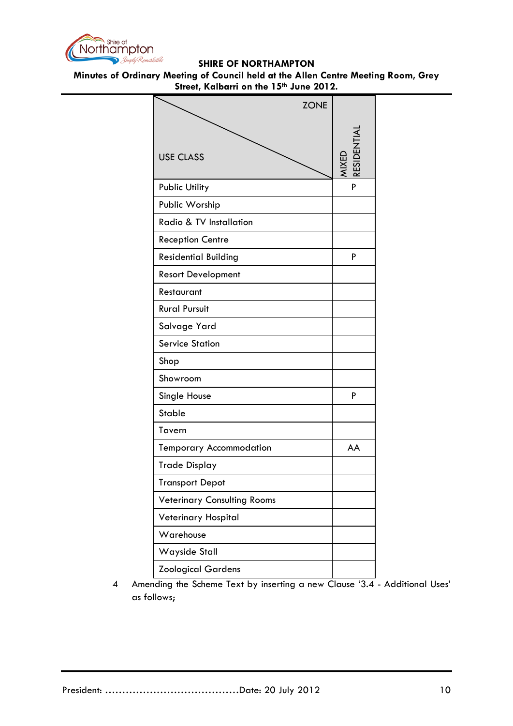

## **Minutes of Ordinary Meeting of Council held at the Allen Centre Meeting Room, Grey Street, Kalbarri on the 15th June 2012.**

| <b>ZONE</b>                        |            |
|------------------------------------|------------|
| <b>USE CLASS</b>                   | RESIDENTI/ |
| <b>Public Utility</b>              | P          |
| Public Worship                     |            |
| Radio & TV Installation            |            |
| <b>Reception Centre</b>            |            |
| <b>Residential Building</b>        | P          |
| <b>Resort Development</b>          |            |
| Restaurant                         |            |
| <b>Rural Pursuit</b>               |            |
| Salvage Yard                       |            |
| <b>Service Station</b>             |            |
| Shop                               |            |
| Showroom                           |            |
| Single House                       | P          |
| <b>Stable</b>                      |            |
| Tavern                             |            |
| <b>Temporary Accommodation</b>     | AA         |
| <b>Trade Display</b>               |            |
| <b>Transport Depot</b>             |            |
| <b>Veterinary Consulting Rooms</b> |            |
| Veterinary Hospital                |            |
| Warehouse                          |            |
| Wayside Stall                      |            |
| <b>Zoological Gardens</b>          |            |

4 Amending the Scheme Text by inserting a new Clause '3.4 - Additional Uses' as follows;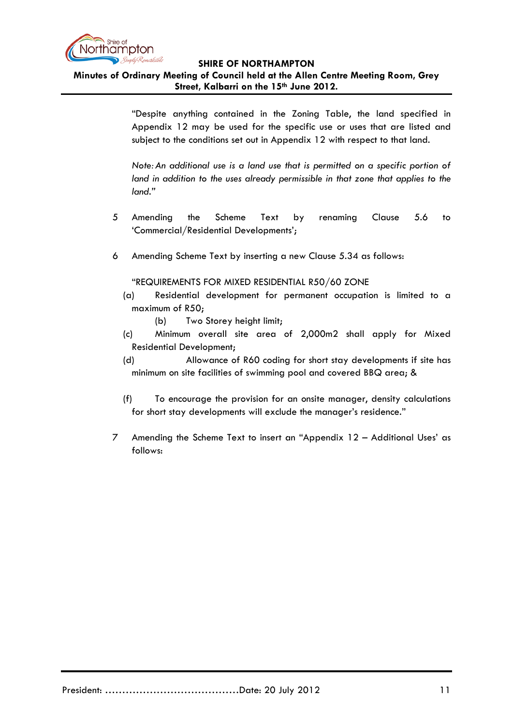

# **Minutes of Ordinary Meeting of Council held at the Allen Centre Meeting Room, Grey Street, Kalbarri on the 15th June 2012.**

"Despite anything contained in the Zoning Table, the land specified in Appendix 12 may be used for the specific use or uses that are listed and subject to the conditions set out in Appendix 12 with respect to that land.

*Note:An additional use is a land use that is permitted on a specific portion of*  land in addition to the uses already permissible in that zone that applies to the *land."*

- 5 Amending the Scheme Text by renaming Clause 5.6 to 'Commercial/Residential Developments';
- 6 Amending Scheme Text by inserting a new Clause 5.34 as follows:

## "REQUIREMENTS FOR MIXED RESIDENTIAL R50/60 ZONE

- (a) Residential development for permanent occupation is limited to a maximum of R50;
	- (b) Two Storey height limit;
- (c) Minimum overall site area of 2,000m2 shall apply for Mixed Residential Development;
- (d) Allowance of R60 coding for short stay developments if site has minimum on site facilities of swimming pool and covered BBQ area; &
- (f) To encourage the provision for an onsite manager, density calculations for short stay developments will exclude the manager's residence."
- 7 Amending the Scheme Text to insert an "Appendix 12 Additional Uses' as follows: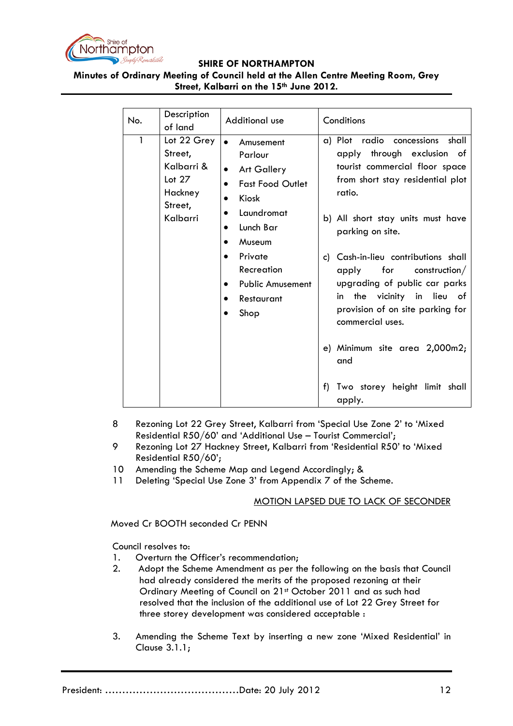

# **Minutes of Ordinary Meeting of Council held at the Allen Centre Meeting Room, Grey Street, Kalbarri on the 15th June 2012.**

| No.          | Description<br>of land                                                             | Additional use                                                                                                                                                                                                                                                 | Conditions                                                                                                                                                                                                                                                                                                                                                                                                                                   |
|--------------|------------------------------------------------------------------------------------|----------------------------------------------------------------------------------------------------------------------------------------------------------------------------------------------------------------------------------------------------------------|----------------------------------------------------------------------------------------------------------------------------------------------------------------------------------------------------------------------------------------------------------------------------------------------------------------------------------------------------------------------------------------------------------------------------------------------|
| $\mathbf{1}$ | Lot 22 Grey<br>Street,<br>Kalbarri &<br>Lot $27$<br>Hackney<br>Street,<br>Kalbarri | Amusement<br>Parlour<br><b>Art Gallery</b><br>$\bullet$<br><b>Fast Food Outlet</b><br>$\bullet$<br>Kiosk<br>Laundromat<br>Lunch Bar<br>$\bullet$<br>Museum<br>$\bullet$<br>Private<br>$\bullet$<br>Recreation<br><b>Public Amusement</b><br>Restaurant<br>Shop | a) Plot radio concessions<br>shall<br>apply through exclusion of<br>tourist commercial floor space<br>from short stay residential plot<br>ratio.<br>b) All short stay units must have<br>parking on site.<br>c) Cash-in-lieu contributions shall<br>apply<br>for<br>construction/<br>upgrading of public car parks<br>vicinity in lieu of<br>in the<br>provision of on site parking for<br>commercial uses.<br>e) Minimum site area 2,000m2; |
|              |                                                                                    |                                                                                                                                                                                                                                                                | and<br>Two storey height limit shall<br>f)<br>apply.                                                                                                                                                                                                                                                                                                                                                                                         |

- 8 Rezoning Lot 22 Grey Street, Kalbarri from 'Special Use Zone 2' to 'Mixed Residential R50/60' and 'Additional Use – Tourist Commercial';
- 9 Rezoning Lot 27 Hackney Street, Kalbarri from 'Residential R50' to 'Mixed Residential R50/60';
- 10 Amending the Scheme Map and Legend Accordingly; &
- 11 Deleting 'Special Use Zone 3' from Appendix 7 of the Scheme.

### MOTION LAPSED DUE TO LACK OF SECONDER

Moved Cr BOOTH seconded Cr PENN

Council resolves to:

- 1. Overturn the Officer's recommendation;
- 2. Adopt the Scheme Amendment as per the following on the basis that Council had already considered the merits of the proposed rezoning at their Ordinary Meeting of Council on 21st October 2011 and as such had resolved that the inclusion of the additional use of Lot 22 Grey Street for three storey development was considered acceptable :
- 3. Amending the Scheme Text by inserting a new zone 'Mixed Residential' in Clause 3.1.1;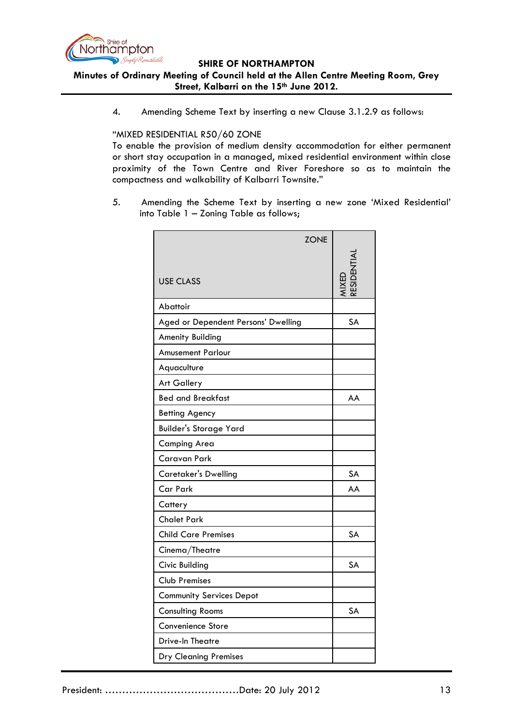

### **SHIRE OF NORTHAMPTON Minutes of Ordinary Meeting of Council held at the Allen Centre Meeting Room, Grey Street, Kalbarri on the 15th June 2012.**

4. Amending Scheme Text by inserting a new Clause 3.1.2.9 as follows:

### "MIXED RESIDENTIAL R50/60 ZONE

To enable the provision of medium density accommodation for either permanent or short stay occupation in a managed, mixed residential environment within close proximity of the Town Centre and River Foreshore so as to maintain the compactness and walkability of Kalbarri Townsite."

5. Amending the Scheme Text by inserting a new zone 'Mixed Residential' into Table 1 – Zoning Table as follows;

| <b>ZONE</b>                         |           |
|-------------------------------------|-----------|
| <b>USE CLASS</b>                    |           |
| Abattoir                            |           |
| Aged or Dependent Persons' Dwelling | <b>SA</b> |
| Amenity Building                    |           |
| <b>Amusement Parlour</b>            |           |
| Aquaculture                         |           |
| <b>Art Gallery</b>                  |           |
| <b>Bed and Breakfast</b>            | AA        |
| <b>Betting Agency</b>               |           |
| <b>Builder's Storage Yard</b>       |           |
| <b>Camping Area</b>                 |           |
| Caravan Park                        |           |
| <b>Caretaker's Dwelling</b>         | <b>SA</b> |
| <b>Car Park</b>                     | AA        |
| Cattery                             |           |
| <b>Chalet Park</b>                  |           |
| <b>Child Care Premises</b>          | SA        |
| Cinema/Theatre                      |           |
| Civic Building                      | <b>SA</b> |
| <b>Club Premises</b>                |           |
| <b>Community Services Depot</b>     |           |
| <b>Consulting Rooms</b>             | <b>SA</b> |
| Convenience Store                   |           |
| Drive-In Theatre                    |           |
| <b>Dry Cleaning Premises</b>        |           |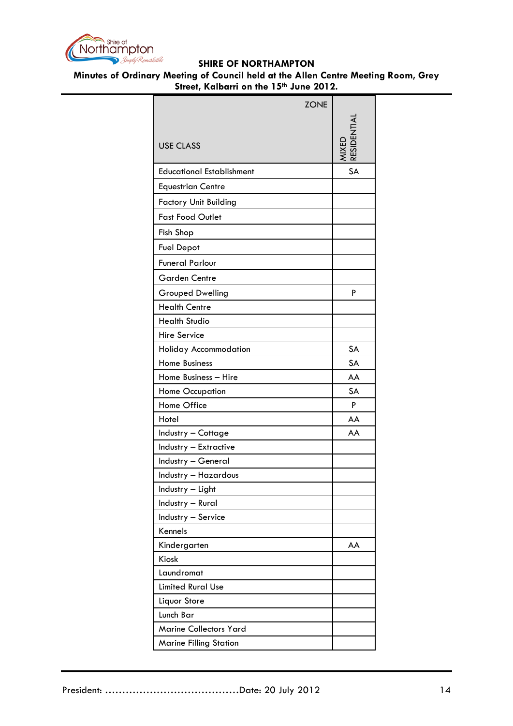

|                                  | <b>ZONE</b> |           |
|----------------------------------|-------------|-----------|
|                                  |             |           |
|                                  |             |           |
| <b>USE CLASS</b>                 |             |           |
| <b>Educational Establishment</b> |             | <b>SA</b> |
| <b>Equestrian Centre</b>         |             |           |
| <b>Factory Unit Building</b>     |             |           |
| <b>Fast Food Outlet</b>          |             |           |
| Fish Shop                        |             |           |
| <b>Fuel Depot</b>                |             |           |
| <b>Funeral Parlour</b>           |             |           |
| <b>Garden Centre</b>             |             |           |
| <b>Grouped Dwelling</b>          |             | P         |
| <b>Health Centre</b>             |             |           |
| <b>Health Studio</b>             |             |           |
| <b>Hire Service</b>              |             |           |
| Holiday Accommodation            |             | SA        |
| <b>Home Business</b>             |             | SA        |
| Home Business - Hire             |             | AA        |
| <b>Home Occupation</b>           |             | SA        |
| Home Office                      |             | P         |
| Hotel                            |             | AA        |
| Industry - Cottage               |             | AA        |
| Industry - Extractive            |             |           |
| Industry - General               |             |           |
| Industry - Hazardous             |             |           |
| Industry - Light                 |             |           |
| Industry - Rural                 |             |           |
| Industry - Service               |             |           |
| Kennels                          |             |           |
| Kindergarten                     |             | AA        |
| Kiosk                            |             |           |
| Laundromat                       |             |           |
| <b>Limited Rural Use</b>         |             |           |
| Liquor Store                     |             |           |
| Lunch Bar                        |             |           |
| <b>Marine Collectors Yard</b>    |             |           |
| <b>Marine Filling Station</b>    |             |           |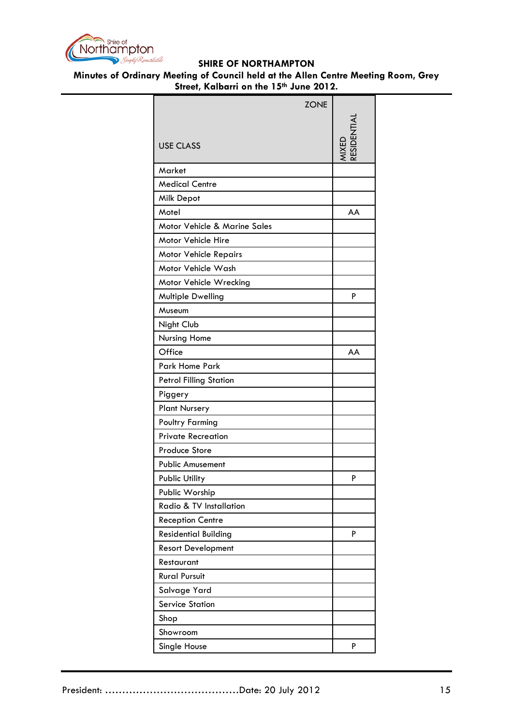

| <b>ZONE</b>                   |           |
|-------------------------------|-----------|
|                               |           |
|                               |           |
| <b>USE CLASS</b>              | ESIDENTI, |
| Market                        |           |
| <b>Medical Centre</b>         |           |
| Milk Depot                    |           |
| Motel                         | AA        |
| Motor Vehicle & Marine Sales  |           |
| Motor Vehicle Hire            |           |
| <b>Motor Vehicle Repairs</b>  |           |
| Motor Vehicle Wash            |           |
| Motor Vehicle Wrecking        |           |
| Multiple Dwelling             | P         |
| Museum                        |           |
| Night Club                    |           |
| Nursing Home                  |           |
| Office                        | AA        |
| Park Home Park                |           |
| <b>Petrol Filling Station</b> |           |
| Piggery                       |           |
| <b>Plant Nursery</b>          |           |
| <b>Poultry Farming</b>        |           |
| <b>Private Recreation</b>     |           |
| Produce Store                 |           |
| <b>Public Amusement</b>       |           |
| Public Utility                | P         |
| Public Worship                |           |
| Radio & TV Installation       |           |
| <b>Reception Centre</b>       |           |
| <b>Residential Building</b>   | P         |
| <b>Resort Development</b>     |           |
| Restaurant                    |           |
| <b>Rural Pursuit</b>          |           |
| Salvage Yard                  |           |
| <b>Service Station</b>        |           |
| Shop                          |           |
| Showroom                      |           |
| Single House                  | P         |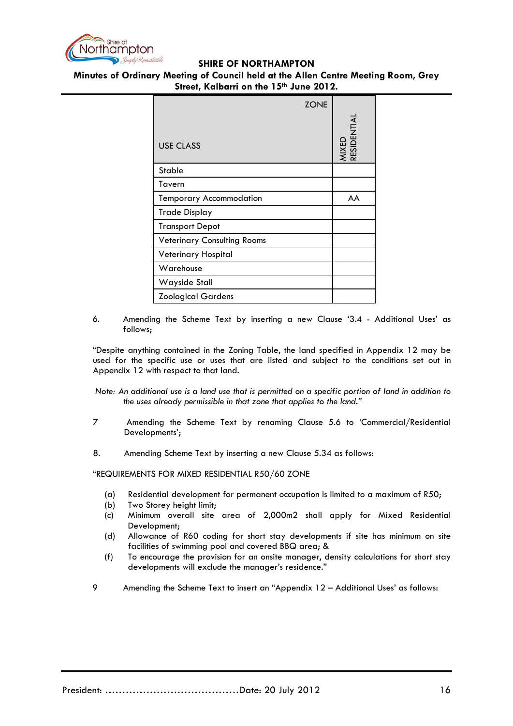

**Minutes of Ordinary Meeting of Council held at the Allen Centre Meeting Room, Grey Street, Kalbarri on the 15th June 2012.**

|                                    | ZONE |                      |
|------------------------------------|------|----------------------|
|                                    |      | MIXED<br>RESIDENTIAL |
| <b>USE CLASS</b>                   |      |                      |
| <b>Stable</b>                      |      |                      |
| Tavern                             |      |                      |
| <b>Temporary Accommodation</b>     |      | AA                   |
| Trade Display                      |      |                      |
| <b>Transport Depot</b>             |      |                      |
| <b>Veterinary Consulting Rooms</b> |      |                      |
| Veterinary Hospital                |      |                      |
| Warehouse                          |      |                      |
| Wayside Stall                      |      |                      |
| <b>Zoological Gardens</b>          |      |                      |

6. Amending the Scheme Text by inserting a new Clause '3.4 - Additional Uses' as follows;

"Despite anything contained in the Zoning Table, the land specified in Appendix 12 may be used for the specific use or uses that are listed and subject to the conditions set out in Appendix 12 with respect to that land.

*Note: An additional use is a land use that is permitted on a specific portion of land in addition to the uses already permissible in that zone that applies to the land."*

- 7 Amending the Scheme Text by renaming Clause 5.6 to 'Commercial/Residential Developments';
- 8. Amending Scheme Text by inserting a new Clause 5.34 as follows:

"REQUIREMENTS FOR MIXED RESIDENTIAL R50/60 ZONE

- (a) Residential development for permanent occupation is limited to a maximum of R50;
- (b) Two Storey height limit;
- (c) Minimum overall site area of 2,000m2 shall apply for Mixed Residential Development;
- (d) Allowance of R60 coding for short stay developments if site has minimum on site facilities of swimming pool and covered BBQ area; &
- (f) To encourage the provision for an onsite manager, density calculations for short stay developments will exclude the manager's residence."
- 9 Amending the Scheme Text to insert an "Appendix 12 Additional Uses' as follows: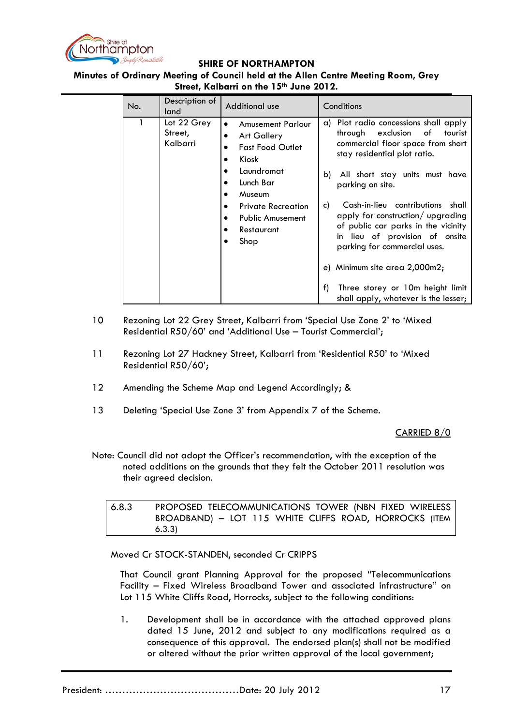

### **Minutes of Ordinary Meeting of Council held at the Allen Centre Meeting Room, Grey Street, Kalbarri on the 15th June 2012.**

| No. | Description of<br>land             | Additional use                                                                                                                                                                                                                            | Conditions                                                                                                                                                                                                                                                                                                                                                                                                                                                                                                              |
|-----|------------------------------------|-------------------------------------------------------------------------------------------------------------------------------------------------------------------------------------------------------------------------------------------|-------------------------------------------------------------------------------------------------------------------------------------------------------------------------------------------------------------------------------------------------------------------------------------------------------------------------------------------------------------------------------------------------------------------------------------------------------------------------------------------------------------------------|
|     | Lot 22 Grey<br>Street,<br>Kalbarri | <b>Amusement Parlour</b><br>$\bullet$<br><b>Art Gallery</b><br>٠<br><b>Fast Food Outlet</b><br>Kiosk<br>Laundromat<br>Lunch Bar<br>Museum<br><b>Private Recreation</b><br>٠<br><b>Public Amusement</b><br>$\bullet$<br>Restaurant<br>Shop | a) Plot radio concessions shall apply<br>exclusion of<br>through<br>tourist<br>commercial floor space from short<br>stay residential plot ratio.<br>b)<br>All short stay units must have<br>parking on site.<br>Cash-in-lieu contributions shall<br>c)<br>apply for construction/ upgrading<br>of public car parks in the vicinity<br>in lieu of provision of onsite<br>parking for commercial uses.<br>e) Minimum site area 2,000m2;<br>f)<br>Three storey or 10m height limit<br>shall apply, whatever is the lesser; |

- 10 Rezoning Lot 22 Grey Street, Kalbarri from 'Special Use Zone 2' to 'Mixed Residential R50/60' and 'Additional Use – Tourist Commercial';
- 11 Rezoning Lot 27 Hackney Street, Kalbarri from 'Residential R50' to 'Mixed Residential R50/60';
- 12 Amending the Scheme Map and Legend Accordingly; &
- 13 Deleting 'Special Use Zone 3' from Appendix 7 of the Scheme.

### CARRIED 8/0

Note: Council did not adopt the Officer's recommendation, with the exception of the noted additions on the grounds that they felt the October 2011 resolution was their agreed decision.

6.8.3 PROPOSED TELECOMMUNICATIONS TOWER (NBN FIXED WIRELESS BROADBAND) – LOT 115 WHITE CLIFFS ROAD, HORROCKS (ITEM 6.3.3)

Moved Cr STOCK-STANDEN, seconded Cr CRIPPS

That Council grant Planning Approval for the proposed "Telecommunications Facility – Fixed Wireless Broadband Tower and associated infrastructure" on Lot 115 White Cliffs Road, Horrocks, subject to the following conditions:

1. Development shall be in accordance with the attached approved plans dated 15 June, 2012 and subject to any modifications required as a consequence of this approval. The endorsed plan(s) shall not be modified or altered without the prior written approval of the local government;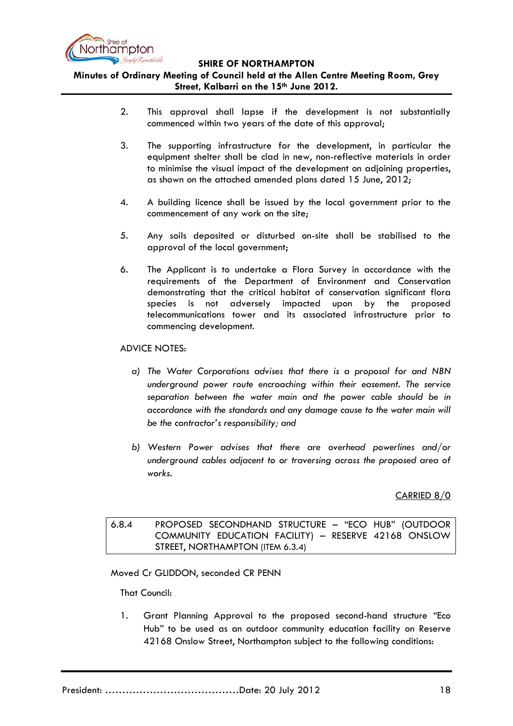

**Minutes of Ordinary Meeting of Council held at the Allen Centre Meeting Room, Grey Street, Kalbarri on the 15th June 2012.**

- 2. This approval shall lapse if the development is not substantially commenced within two years of the date of this approval;
- 3. The supporting infrastructure for the development, in particular the equipment shelter shall be clad in new, non-reflective materials in order to minimise the visual impact of the development on adjoining properties, as shown on the attached amended plans dated 15 June, 2012;
- 4. A building licence shall be issued by the local government prior to the commencement of any work on the site;
- 5. Any soils deposited or disturbed on-site shall be stabilised to the approval of the local government;
- 6. The Applicant is to undertake a Flora Survey in accordance with the requirements of the Department of Environment and Conservation demonstrating that the critical habitat of conservation significant flora species is not adversely impacted upon by the proposed telecommunications tower and its associated infrastructure prior to commencing development.

### ADVICE NOTES:

- *a) The Water Corporations advises that there is a proposal for and NBN underground power route encroaching within their easement. The service separation between the water main and the power cable should be in accordance with the standards and any damage cause to the water main will be the contractor's responsibility; and*
- *b) Western Power advises that there are overhead powerlines and/or underground cables adjacent to or traversing across the proposed area of works.*

## CARRIED 8/0

6.8.4 PROPOSED SECONDHAND STRUCTURE – "ECO HUB" (OUTDOOR COMMUNITY EDUCATION FACILITY) – RESERVE 42168 ONSLOW STREET, NORTHAMPTON (ITEM 6.3.4)

### Moved Cr GLIDDON, seconded CR PENN

That Council:

1. Grant Planning Approval to the proposed second-hand structure "Eco Hub" to be used as an outdoor community education facility on Reserve 42168 Onslow Street, Northampton subject to the following conditions: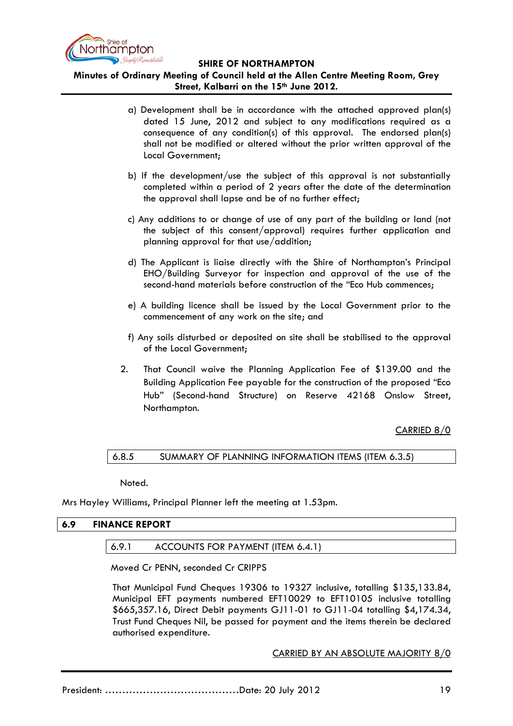

# **Minutes of Ordinary Meeting of Council held at the Allen Centre Meeting Room, Grey Street, Kalbarri on the 15th June 2012.**

- a) Development shall be in accordance with the attached approved plan(s) dated 15 June, 2012 and subject to any modifications required as a consequence of any condition(s) of this approval. The endorsed plan(s) shall not be modified or altered without the prior written approval of the Local Government;
- b) If the development/use the subject of this approval is not substantially completed within a period of 2 years after the date of the determination the approval shall lapse and be of no further effect;
- c) Any additions to or change of use of any part of the building or land (not the subject of this consent/approval) requires further application and planning approval for that use/addition;
- d) The Applicant is liaise directly with the Shire of Northampton's Principal EHO/Building Surveyor for inspection and approval of the use of the second-hand materials before construction of the "Eco Hub commences;
- e) A building licence shall be issued by the Local Government prior to the commencement of any work on the site; and
- f) Any soils disturbed or deposited on site shall be stabilised to the approval of the Local Government;
- 2. That Council waive the Planning Application Fee of \$139.00 and the Building Application Fee payable for the construction of the proposed "Eco Hub" (Second-hand Structure) on Reserve 42168 Onslow Street, Northampton.

CARRIED 8/0

## 6.8.5 SUMMARY OF PLANNING INFORMATION ITEMS (ITEM 6.3.5)

Noted.

Mrs Hayley Williams, Principal Planner left the meeting at 1.53pm.

## **6.9 FINANCE REPORT**

## 6.9.1 ACCOUNTS FOR PAYMENT (ITEM 6.4.1)

Moved Cr PENN, seconded Cr CRIPPS

That Municipal Fund Cheques 19306 to 19327 inclusive, totalling \$135,133.84, Municipal EFT payments numbered EFT10029 to EFT10105 inclusive totalling \$665,357.16, Direct Debit payments GJ11-01 to GJ11-04 totalling \$4,174.34, Trust Fund Cheques Nil, be passed for payment and the items therein be declared authorised expenditure.

CARRIED BY AN ABSOLUTE MAJORITY 8/0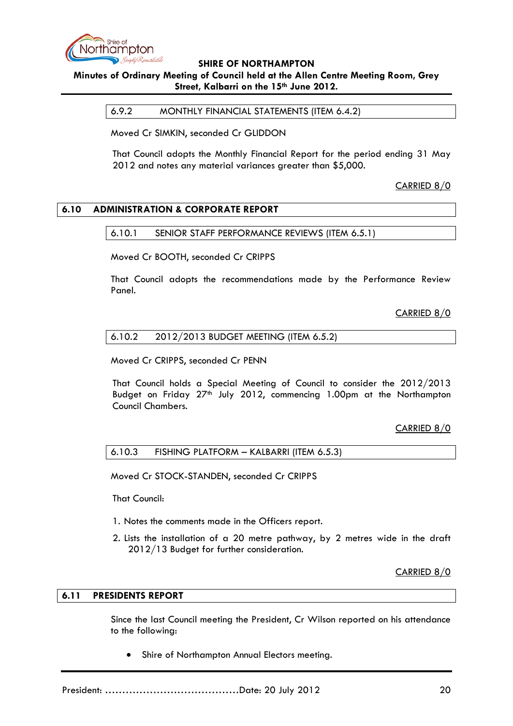

# **Minutes of Ordinary Meeting of Council held at the Allen Centre Meeting Room, Grey Street, Kalbarri on the 15th June 2012.**

6.9.2 MONTHLY FINANCIAL STATEMENTS (ITEM 6.4.2)

Moved Cr SIMKIN, seconded Cr GLIDDON

That Council adopts the Monthly Financial Report for the period ending 31 May 2012 and notes any material variances greater than \$5,000.

CARRIED 8/0

## **6.10 ADMINISTRATION & CORPORATE REPORT**

### 6.10.1 SENIOR STAFF PERFORMANCE REVIEWS (ITEM 6.5.1)

Moved Cr BOOTH, seconded Cr CRIPPS

That Council adopts the recommendations made by the Performance Review Panel.

CARRIED 8/0

### 6.10.2 2012/2013 BUDGET MEETING (ITEM 6.5.2)

Moved Cr CRIPPS, seconded Cr PENN

That Council holds a Special Meeting of Council to consider the 2012/2013 Budget on Friday  $27<sup>th</sup>$  July 2012, commencing 1.00pm at the Northampton Council Chambers.

## CARRIED 8/0

### 6.10.3 FISHING PLATFORM – KALBARRI (ITEM 6.5.3)

Moved Cr STOCK-STANDEN, seconded Cr CRIPPS

That Council:

- 1. Notes the comments made in the Officers report.
- 2. Lists the installation of a 20 metre pathway, by 2 metres wide in the draft 2012/13 Budget for further consideration.

CARRIED 8/0

### **6.11 PRESIDENTS REPORT**

Since the last Council meeting the President, Cr Wilson reported on his attendance to the following:

• Shire of Northampton Annual Electors meeting.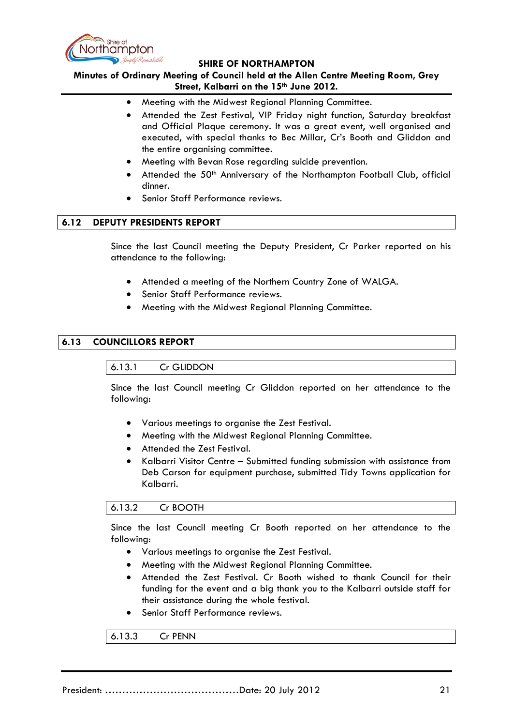

**Minutes of Ordinary Meeting of Council held at the Allen Centre Meeting Room, Grey Street, Kalbarri on the 15th June 2012.**

- Meeting with the Midwest Regional Planning Committee.
- Attended the Zest Festival, VIP Friday night function, Saturday breakfast and Official Plaque ceremony. It was a great event, well organised and executed, with special thanks to Bec Millar, Cr's Booth and Gliddon and the entire organising committee.
- Meeting with Bevan Rose regarding suicide prevention.
- Attended the 50<sup>th</sup> Anniversary of the Northampton Football Club, official dinner.
- Senior Staff Performance reviews.

### **6.12 DEPUTY PRESIDENTS REPORT**

Since the last Council meeting the Deputy President, Cr Parker reported on his attendance to the following:

- Attended a meeting of the Northern Country Zone of WALGA.
- Senior Staff Performance reviews.
- Meeting with the Midwest Regional Planning Committee.

## **6.13 COUNCILLORS REPORT**

### 6.13.1 Cr GLIDDON

Since the last Council meeting Cr Gliddon reported on her attendance to the following:

- Various meetings to organise the Zest Festival.
- Meeting with the Midwest Regional Planning Committee.
- Attended the Zest Festival.
- Kalbarri Visitor Centre Submitted funding submission with assistance from Deb Carson for equipment purchase, submitted Tidy Towns application for Kalbarri.

### 6.13.2 Cr BOOTH

Since the last Council meeting Cr Booth reported on her attendance to the following:

- Various meetings to organise the Zest Festival.
- Meeting with the Midwest Regional Planning Committee.
- Attended the Zest Festival. Cr Booth wished to thank Council for their funding for the event and a big thank you to the Kalbarri outside staff for their assistance during the whole festival.
- Senior Staff Performance reviews.

6.13.3 Cr PENN